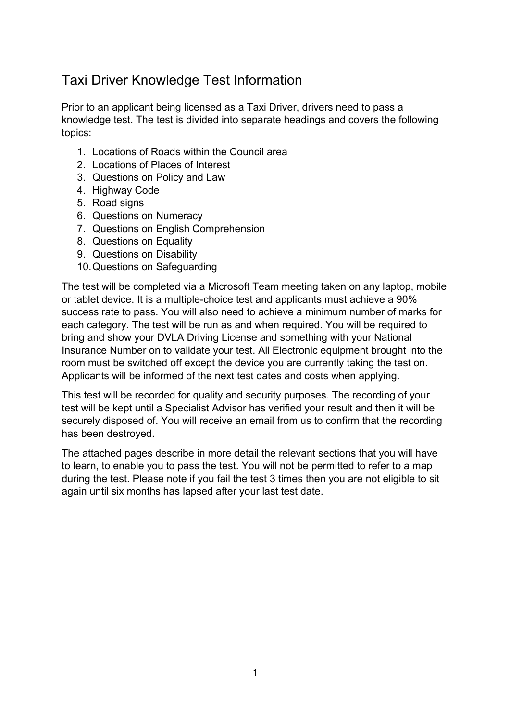# Taxi Driver Knowledge Test Information

Prior to an applicant being licensed as a Taxi Driver, drivers need to pass a knowledge test. The test is divided into separate headings and covers the following topics:

- 1. Locations of Roads within the Council area
- 2. Locations of Places of Interest
- 3. Questions on Policy and Law
- 4. Highway Code
- 5. Road signs
- 6. Questions on Numeracy
- 7. Questions on English Comprehension
- 8. Questions on Equality
- 9. Questions on Disability
- 10.Questions on Safeguarding

The test will be completed via a Microsoft Team meeting taken on any laptop, mobile or tablet device. It is a multiple-choice test and applicants must achieve a 90% success rate to pass. You will also need to achieve a minimum number of marks for each category. The test will be run as and when required. You will be required to bring and show your DVLA Driving License and something with your National Insurance Number on to validate your test. All Electronic equipment brought into the room must be switched off except the device you are currently taking the test on. Applicants will be informed of the next test dates and costs when applying.

This test will be recorded for quality and security purposes. The recording of your test will be kept until a Specialist Advisor has verified your result and then it will be securely disposed of. You will receive an email from us to confirm that the recording has been destroyed.

The attached pages describe in more detail the relevant sections that you will have to learn, to enable you to pass the test. You will not be permitted to refer to a map during the test. Please note if you fail the test 3 times then you are not eligible to sit again until six months has lapsed after your last test date.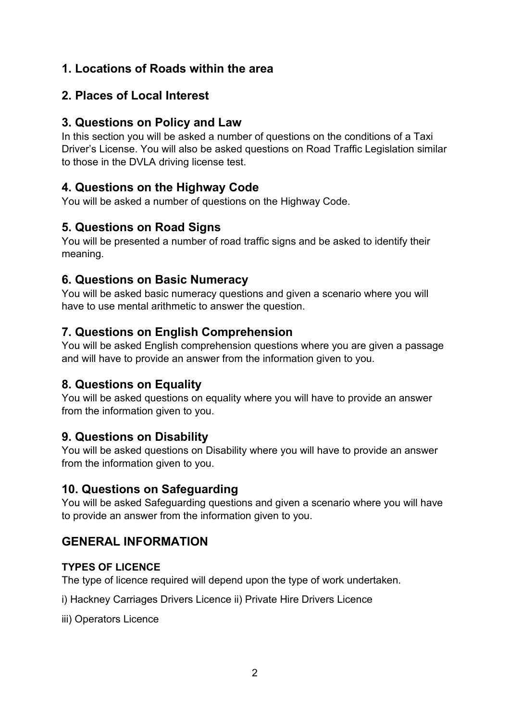# **1. Locations of Roads within the area**

# **2. Places of Local Interest**

# **3. Questions on Policy and Law**

In this section you will be asked a number of questions on the conditions of a Taxi Driver's License. You will also be asked questions on Road Traffic Legislation similar to those in the DVLA driving license test.

# **4. Questions on the Highway Code**

You will be asked a number of questions on the Highway Code.

# **5. Questions on Road Signs**

You will be presented a number of road traffic signs and be asked to identify their meaning.

# **6. Questions on Basic Numeracy**

You will be asked basic numeracy questions and given a scenario where you will have to use mental arithmetic to answer the question.

# **7. Questions on English Comprehension**

You will be asked English comprehension questions where you are given a passage and will have to provide an answer from the information given to you.

# **8. Questions on Equality**

You will be asked questions on equality where you will have to provide an answer from the information given to you.

# **9. Questions on Disability**

You will be asked questions on Disability where you will have to provide an answer from the information given to you.

# **10. Questions on Safeguarding**

You will be asked Safeguarding questions and given a scenario where you will have to provide an answer from the information given to you.

# **GENERAL INFORMATION**

# **TYPES OF LICENCE**

The type of licence required will depend upon the type of work undertaken.

i) Hackney Carriages Drivers Licence ii) Private Hire Drivers Licence

iii) Operators Licence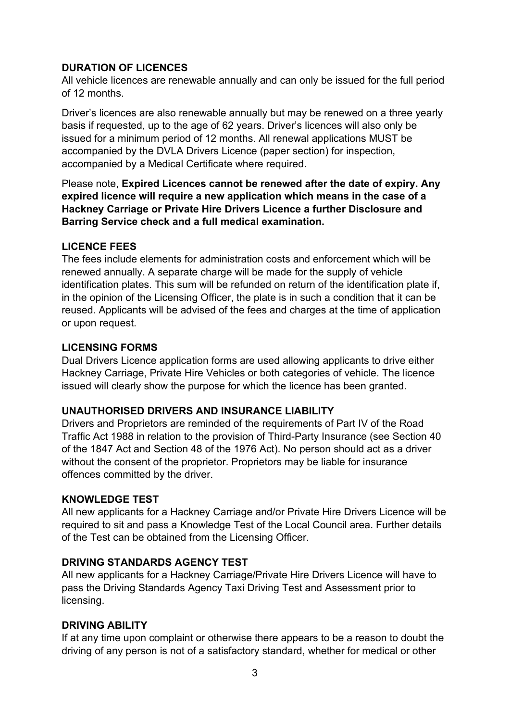## **DURATION OF LICENCES**

All vehicle licences are renewable annually and can only be issued for the full period of 12 months.

Driver's licences are also renewable annually but may be renewed on a three yearly basis if requested, up to the age of 62 years. Driver's licences will also only be issued for a minimum period of 12 months. All renewal applications MUST be accompanied by the DVLA Drivers Licence (paper section) for inspection, accompanied by a Medical Certificate where required.

Please note, **Expired Licences cannot be renewed after the date of expiry. Any expired licence will require a new application which means in the case of a Hackney Carriage or Private Hire Drivers Licence a further Disclosure and Barring Service check and a full medical examination.** 

## **LICENCE FEES**

The fees include elements for administration costs and enforcement which will be renewed annually. A separate charge will be made for the supply of vehicle identification plates. This sum will be refunded on return of the identification plate if, in the opinion of the Licensing Officer, the plate is in such a condition that it can be reused. Applicants will be advised of the fees and charges at the time of application or upon request.

## **LICENSING FORMS**

Dual Drivers Licence application forms are used allowing applicants to drive either Hackney Carriage, Private Hire Vehicles or both categories of vehicle. The licence issued will clearly show the purpose for which the licence has been granted.

## **UNAUTHORISED DRIVERS AND INSURANCE LIABILITY**

Drivers and Proprietors are reminded of the requirements of Part IV of the Road Traffic Act 1988 in relation to the provision of Third-Party Insurance (see Section 40 of the 1847 Act and Section 48 of the 1976 Act). No person should act as a driver without the consent of the proprietor. Proprietors may be liable for insurance offences committed by the driver.

## **KNOWLEDGE TEST**

All new applicants for a Hackney Carriage and/or Private Hire Drivers Licence will be required to sit and pass a Knowledge Test of the Local Council area. Further details of the Test can be obtained from the Licensing Officer.

# **DRIVING STANDARDS AGENCY TEST**

All new applicants for a Hackney Carriage/Private Hire Drivers Licence will have to pass the Driving Standards Agency Taxi Driving Test and Assessment prior to licensing.

# **DRIVING ABILITY**

If at any time upon complaint or otherwise there appears to be a reason to doubt the driving of any person is not of a satisfactory standard, whether for medical or other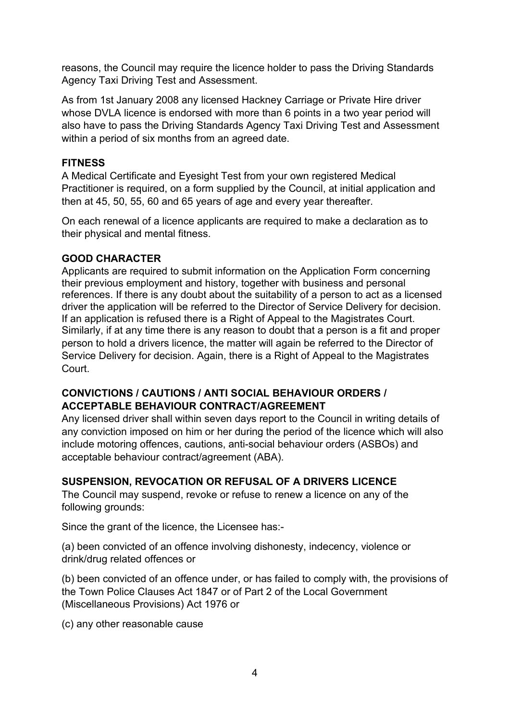reasons, the Council may require the licence holder to pass the Driving Standards Agency Taxi Driving Test and Assessment.

As from 1st January 2008 any licensed Hackney Carriage or Private Hire driver whose DVLA licence is endorsed with more than 6 points in a two year period will also have to pass the Driving Standards Agency Taxi Driving Test and Assessment within a period of six months from an agreed date.

## **FITNESS**

A Medical Certificate and Eyesight Test from your own registered Medical Practitioner is required, on a form supplied by the Council, at initial application and then at 45, 50, 55, 60 and 65 years of age and every year thereafter.

On each renewal of a licence applicants are required to make a declaration as to their physical and mental fitness.

# **GOOD CHARACTER**

Applicants are required to submit information on the Application Form concerning their previous employment and history, together with business and personal references. If there is any doubt about the suitability of a person to act as a licensed driver the application will be referred to the Director of Service Delivery for decision. If an application is refused there is a Right of Appeal to the Magistrates Court. Similarly, if at any time there is any reason to doubt that a person is a fit and proper person to hold a drivers licence, the matter will again be referred to the Director of Service Delivery for decision. Again, there is a Right of Appeal to the Magistrates Court.

# **CONVICTIONS / CAUTIONS / ANTI SOCIAL BEHAVIOUR ORDERS / ACCEPTABLE BEHAVIOUR CONTRACT/AGREEMENT**

Any licensed driver shall within seven days report to the Council in writing details of any conviction imposed on him or her during the period of the licence which will also include motoring offences, cautions, anti-social behaviour orders (ASBOs) and acceptable behaviour contract/agreement (ABA).

# **SUSPENSION, REVOCATION OR REFUSAL OF A DRIVERS LICENCE**

The Council may suspend, revoke or refuse to renew a licence on any of the following grounds:

Since the grant of the licence, the Licensee has:-

(a) been convicted of an offence involving dishonesty, indecency, violence or drink/drug related offences or

(b) been convicted of an offence under, or has failed to comply with, the provisions of the Town Police Clauses Act 1847 or of Part 2 of the Local Government (Miscellaneous Provisions) Act 1976 or

(c) any other reasonable cause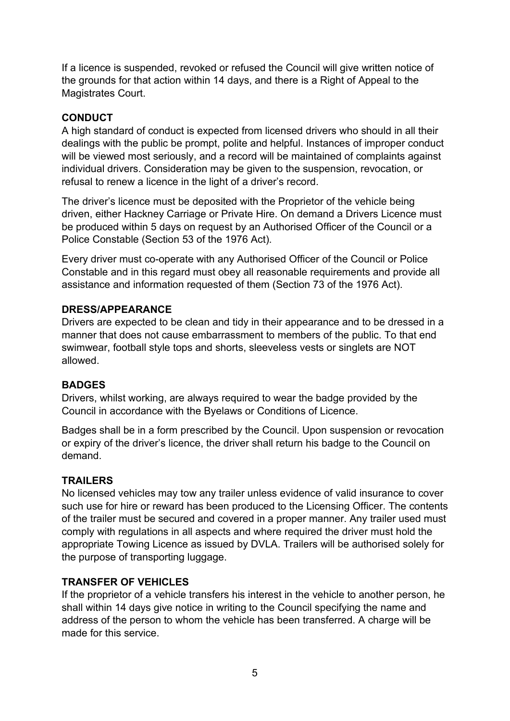If a licence is suspended, revoked or refused the Council will give written notice of the grounds for that action within 14 days, and there is a Right of Appeal to the Magistrates Court.

# **CONDUCT**

A high standard of conduct is expected from licensed drivers who should in all their dealings with the public be prompt, polite and helpful. Instances of improper conduct will be viewed most seriously, and a record will be maintained of complaints against individual drivers. Consideration may be given to the suspension, revocation, or refusal to renew a licence in the light of a driver's record.

The driver's licence must be deposited with the Proprietor of the vehicle being driven, either Hackney Carriage or Private Hire. On demand a Drivers Licence must be produced within 5 days on request by an Authorised Officer of the Council or a Police Constable (Section 53 of the 1976 Act).

Every driver must co-operate with any Authorised Officer of the Council or Police Constable and in this regard must obey all reasonable requirements and provide all assistance and information requested of them (Section 73 of the 1976 Act).

## **DRESS/APPEARANCE**

Drivers are expected to be clean and tidy in their appearance and to be dressed in a manner that does not cause embarrassment to members of the public. To that end swimwear, football style tops and shorts, sleeveless vests or singlets are NOT allowed.

#### **BADGES**

Drivers, whilst working, are always required to wear the badge provided by the Council in accordance with the Byelaws or Conditions of Licence.

Badges shall be in a form prescribed by the Council. Upon suspension or revocation or expiry of the driver's licence, the driver shall return his badge to the Council on demand.

## **TRAILERS**

No licensed vehicles may tow any trailer unless evidence of valid insurance to cover such use for hire or reward has been produced to the Licensing Officer. The contents of the trailer must be secured and covered in a proper manner. Any trailer used must comply with regulations in all aspects and where required the driver must hold the appropriate Towing Licence as issued by DVLA. Trailers will be authorised solely for the purpose of transporting luggage.

## **TRANSFER OF VEHICLES**

If the proprietor of a vehicle transfers his interest in the vehicle to another person, he shall within 14 days give notice in writing to the Council specifying the name and address of the person to whom the vehicle has been transferred. A charge will be made for this service.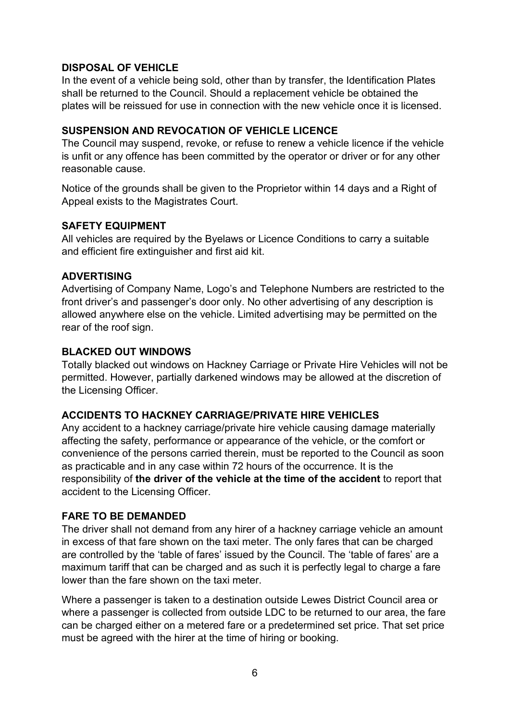### **DISPOSAL OF VEHICLE**

In the event of a vehicle being sold, other than by transfer, the Identification Plates shall be returned to the Council. Should a replacement vehicle be obtained the plates will be reissued for use in connection with the new vehicle once it is licensed.

### **SUSPENSION AND REVOCATION OF VEHICLE LICENCE**

The Council may suspend, revoke, or refuse to renew a vehicle licence if the vehicle is unfit or any offence has been committed by the operator or driver or for any other reasonable cause.

Notice of the grounds shall be given to the Proprietor within 14 days and a Right of Appeal exists to the Magistrates Court.

#### **SAFETY EQUIPMENT**

All vehicles are required by the Byelaws or Licence Conditions to carry a suitable and efficient fire extinguisher and first aid kit.

#### **ADVERTISING**

Advertising of Company Name, Logo's and Telephone Numbers are restricted to the front driver's and passenger's door only. No other advertising of any description is allowed anywhere else on the vehicle. Limited advertising may be permitted on the rear of the roof sign.

#### **BLACKED OUT WINDOWS**

Totally blacked out windows on Hackney Carriage or Private Hire Vehicles will not be permitted. However, partially darkened windows may be allowed at the discretion of the Licensing Officer.

#### **ACCIDENTS TO HACKNEY CARRIAGE/PRIVATE HIRE VEHICLES**

Any accident to a hackney carriage/private hire vehicle causing damage materially affecting the safety, performance or appearance of the vehicle, or the comfort or convenience of the persons carried therein, must be reported to the Council as soon as practicable and in any case within 72 hours of the occurrence. It is the responsibility of **the driver of the vehicle at the time of the accident** to report that accident to the Licensing Officer.

#### **FARE TO BE DEMANDED**

The driver shall not demand from any hirer of a hackney carriage vehicle an amount in excess of that fare shown on the taxi meter. The only fares that can be charged are controlled by the 'table of fares' issued by the Council. The 'table of fares' are a maximum tariff that can be charged and as such it is perfectly legal to charge a fare lower than the fare shown on the taxi meter.

Where a passenger is taken to a destination outside Lewes District Council area or where a passenger is collected from outside LDC to be returned to our area, the fare can be charged either on a metered fare or a predetermined set price. That set price must be agreed with the hirer at the time of hiring or booking.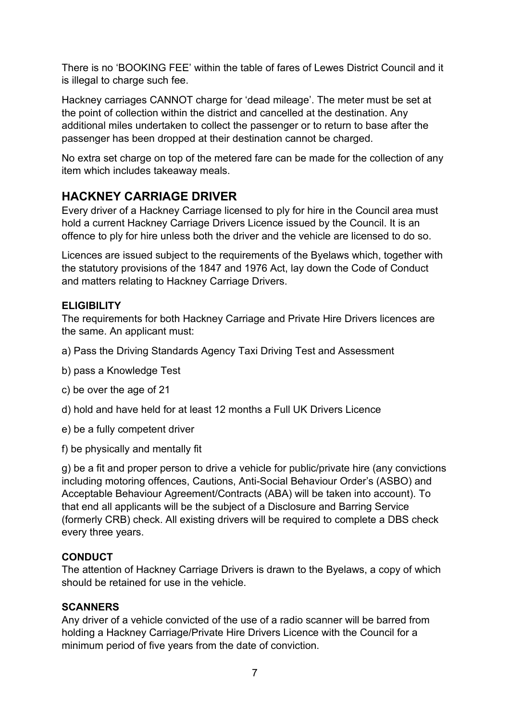There is no 'BOOKING FEE' within the table of fares of Lewes District Council and it is illegal to charge such fee.

Hackney carriages CANNOT charge for 'dead mileage'. The meter must be set at the point of collection within the district and cancelled at the destination. Any additional miles undertaken to collect the passenger or to return to base after the passenger has been dropped at their destination cannot be charged.

No extra set charge on top of the metered fare can be made for the collection of any item which includes takeaway meals.

# **HACKNEY CARRIAGE DRIVER**

Every driver of a Hackney Carriage licensed to ply for hire in the Council area must hold a current Hackney Carriage Drivers Licence issued by the Council. It is an offence to ply for hire unless both the driver and the vehicle are licensed to do so.

Licences are issued subject to the requirements of the Byelaws which, together with the statutory provisions of the 1847 and 1976 Act, lay down the Code of Conduct and matters relating to Hackney Carriage Drivers.

# **ELIGIBILITY**

The requirements for both Hackney Carriage and Private Hire Drivers licences are the same. An applicant must:

- a) Pass the Driving Standards Agency Taxi Driving Test and Assessment
- b) pass a Knowledge Test
- c) be over the age of 21
- d) hold and have held for at least 12 months a Full UK Drivers Licence
- e) be a fully competent driver
- f) be physically and mentally fit

g) be a fit and proper person to drive a vehicle for public/private hire (any convictions including motoring offences, Cautions, Anti-Social Behaviour Order's (ASBO) and Acceptable Behaviour Agreement/Contracts (ABA) will be taken into account). To that end all applicants will be the subject of a Disclosure and Barring Service (formerly CRB) check. All existing drivers will be required to complete a DBS check every three years.

## **CONDUCT**

The attention of Hackney Carriage Drivers is drawn to the Byelaws, a copy of which should be retained for use in the vehicle.

## **SCANNERS**

Any driver of a vehicle convicted of the use of a radio scanner will be barred from holding a Hackney Carriage/Private Hire Drivers Licence with the Council for a minimum period of five years from the date of conviction.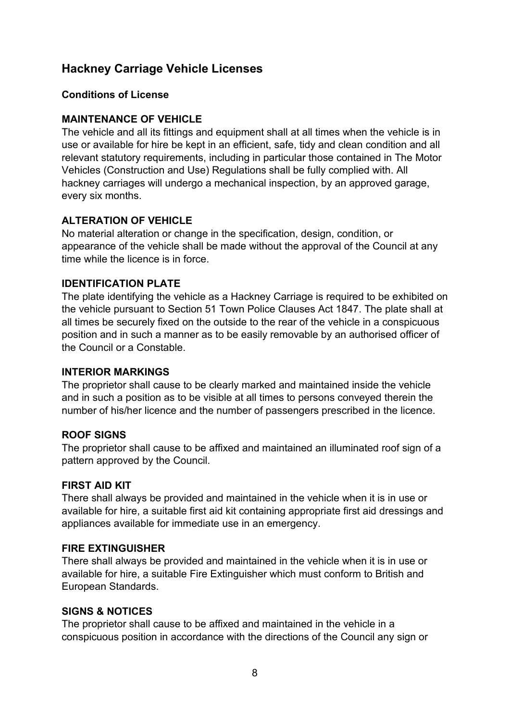# **Hackney Carriage Vehicle Licenses**

## **Conditions of License**

## **MAINTENANCE OF VEHICLE**

The vehicle and all its fittings and equipment shall at all times when the vehicle is in use or available for hire be kept in an efficient, safe, tidy and clean condition and all relevant statutory requirements, including in particular those contained in The Motor Vehicles (Construction and Use) Regulations shall be fully complied with. All hackney carriages will undergo a mechanical inspection, by an approved garage, every six months.

# **ALTERATION OF VEHICLE**

No material alteration or change in the specification, design, condition, or appearance of the vehicle shall be made without the approval of the Council at any time while the licence is in force.

## **IDENTIFICATION PLATE**

The plate identifying the vehicle as a Hackney Carriage is required to be exhibited on the vehicle pursuant to Section 51 Town Police Clauses Act 1847. The plate shall at all times be securely fixed on the outside to the rear of the vehicle in a conspicuous position and in such a manner as to be easily removable by an authorised officer of the Council or a Constable.

## **INTERIOR MARKINGS**

The proprietor shall cause to be clearly marked and maintained inside the vehicle and in such a position as to be visible at all times to persons conveyed therein the number of his/her licence and the number of passengers prescribed in the licence.

## **ROOF SIGNS**

The proprietor shall cause to be affixed and maintained an illuminated roof sign of a pattern approved by the Council.

## **FIRST AID KIT**

There shall always be provided and maintained in the vehicle when it is in use or available for hire, a suitable first aid kit containing appropriate first aid dressings and appliances available for immediate use in an emergency.

## **FIRE EXTINGUISHER**

There shall always be provided and maintained in the vehicle when it is in use or available for hire, a suitable Fire Extinguisher which must conform to British and European Standards.

## **SIGNS & NOTICES**

The proprietor shall cause to be affixed and maintained in the vehicle in a conspicuous position in accordance with the directions of the Council any sign or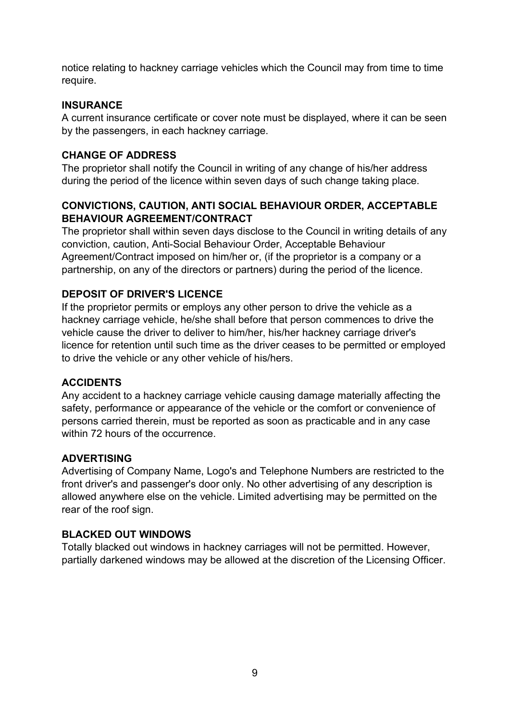notice relating to hackney carriage vehicles which the Council may from time to time require.

### **INSURANCE**

A current insurance certificate or cover note must be displayed, where it can be seen by the passengers, in each hackney carriage.

# **CHANGE OF ADDRESS**

The proprietor shall notify the Council in writing of any change of his/her address during the period of the licence within seven days of such change taking place.

## **CONVICTIONS, CAUTION, ANTI SOCIAL BEHAVIOUR ORDER, ACCEPTABLE BEHAVIOUR AGREEMENT/CONTRACT**

The proprietor shall within seven days disclose to the Council in writing details of any conviction, caution, Anti-Social Behaviour Order, Acceptable Behaviour Agreement/Contract imposed on him/her or, (if the proprietor is a company or a partnership, on any of the directors or partners) during the period of the licence.

# **DEPOSIT OF DRIVER'S LICENCE**

If the proprietor permits or employs any other person to drive the vehicle as a hackney carriage vehicle, he/she shall before that person commences to drive the vehicle cause the driver to deliver to him/her, his/her hackney carriage driver's licence for retention until such time as the driver ceases to be permitted or employed to drive the vehicle or any other vehicle of his/hers.

## **ACCIDENTS**

Any accident to a hackney carriage vehicle causing damage materially affecting the safety, performance or appearance of the vehicle or the comfort or convenience of persons carried therein, must be reported as soon as practicable and in any case within 72 hours of the occurrence.

## **ADVERTISING**

Advertising of Company Name, Logo's and Telephone Numbers are restricted to the front driver's and passenger's door only. No other advertising of any description is allowed anywhere else on the vehicle. Limited advertising may be permitted on the rear of the roof sign.

## **BLACKED OUT WINDOWS**

Totally blacked out windows in hackney carriages will not be permitted. However, partially darkened windows may be allowed at the discretion of the Licensing Officer.